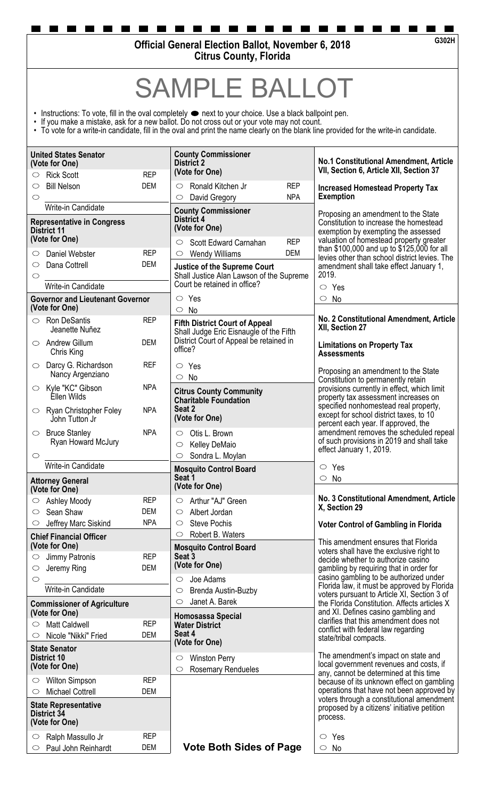**Official General Election Ballot, November 6, 2018 Citrus County, Florida**

SAMPLE B

- Instructions: To vote, fill in the oval completely  $\bullet$  next to your choice. Use a black ballpoint pen.
- If you make a mistake, ask for a new ballot. Do not cross out or your vote may not count.
- To vote for a write-in candidate, fill in the oval and print the name clearly on the blank line provided for the write-in candidate.

| <b>United States Senator</b><br>(Vote for One)<br><b>REP</b><br><b>Rick Scott</b><br>$\circ$ |                                    |                                                                                 | <b>County Commissioner</b><br><b>District 2</b><br>(Vote for One)                                              |                                                                                                                                                                 | <b>No.1 Constitutional Amendment, Article</b><br>VII, Section 6, Article XII, Section 37                                                                                                                                                                                                    |  |
|----------------------------------------------------------------------------------------------|------------------------------------|---------------------------------------------------------------------------------|----------------------------------------------------------------------------------------------------------------|-----------------------------------------------------------------------------------------------------------------------------------------------------------------|---------------------------------------------------------------------------------------------------------------------------------------------------------------------------------------------------------------------------------------------------------------------------------------------|--|
| <b>Bill Nelson</b><br>$\circlearrowright$                                                    |                                    | <b>DEM</b>                                                                      | Ronald Kitchen Jr<br>$\circ$<br>$\circ$                                                                        | <b>REP</b><br><b>NPA</b>                                                                                                                                        | <b>Increased Homestead Property Tax</b><br><b>Exemption</b>                                                                                                                                                                                                                                 |  |
| $\circlearrowright$<br>Write-in Candidate                                                    |                                    |                                                                                 | David Gregory                                                                                                  |                                                                                                                                                                 |                                                                                                                                                                                                                                                                                             |  |
| <b>Representative in Congress</b><br><b>District 11</b><br>(Vote for One)                    |                                    | <b>County Commissioner</b><br><b>District 4</b><br>(Vote for One)<br><b>REP</b> |                                                                                                                | Proposing an amendment to the State<br>Constitution to increase the homestead<br>exemption by exempting the assessed<br>valuation of homestead property greater |                                                                                                                                                                                                                                                                                             |  |
| Daniel Webster<br>O                                                                          |                                    | <b>REP</b>                                                                      | Scott Edward Carnahan<br>$\circ$<br><b>Wendy Williams</b><br>$\circ$                                           | DEM                                                                                                                                                             | than \$100,000 and up to \$125,000 for all                                                                                                                                                                                                                                                  |  |
| Dana Cottrell<br>$\circ$                                                                     |                                    | <b>DEM</b>                                                                      | <b>Justice of the Supreme Court</b>                                                                            |                                                                                                                                                                 | levies other than school district levies. The<br>amendment shall take effect January 1,                                                                                                                                                                                                     |  |
| $\circlearrowright$                                                                          |                                    |                                                                                 | Shall Justice Alan Lawson of the Supreme                                                                       |                                                                                                                                                                 | 2019.                                                                                                                                                                                                                                                                                       |  |
| Write-in Candidate                                                                           |                                    |                                                                                 | Court be retained in office?                                                                                   |                                                                                                                                                                 | $\circ$ Yes                                                                                                                                                                                                                                                                                 |  |
| <b>Governor and Lieutenant Governor</b><br>(Vote for One)                                    |                                    |                                                                                 | Yes<br>$\circ$<br>$\circ$ No                                                                                   |                                                                                                                                                                 | $\circ$<br>No                                                                                                                                                                                                                                                                               |  |
| $\circ$ Ron DeSantis<br>Jeanette Nuñez                                                       |                                    | <b>REP</b>                                                                      | <b>Fifth District Court of Appeal</b><br>Shall Judge Eric Eisnaugle of the Fifth                               | No. 2 Constitutional Amendment, Article<br>XII, Section 27                                                                                                      |                                                                                                                                                                                                                                                                                             |  |
| $\circ$ Andrew Gillum<br>Chris King                                                          |                                    | <b>DEM</b>                                                                      | District Court of Appeal be retained in<br><b>Limitations on Property Tax</b><br>office?<br><b>Assessments</b> |                                                                                                                                                                 |                                                                                                                                                                                                                                                                                             |  |
| $\circ$ Darcy G. Richardson                                                                  | Nancy Argenziano                   | <b>REF</b>                                                                      | Yes<br>$\circ$<br>No<br>$\circ$                                                                                |                                                                                                                                                                 | Proposing an amendment to the State<br>Constitution to permanently retain<br>provisions currently in effect, which limit<br>property tax assessment increases on<br>specified nonhomestead real property,<br>except for school district taxes, to 10<br>percent each year. If approved, the |  |
| $\circ$ Kyle "KC" Gibson<br>Ellen Wilds                                                      |                                    | <b>NPA</b>                                                                      | <b>Citrus County Community</b><br><b>Charitable Foundation</b>                                                 |                                                                                                                                                                 |                                                                                                                                                                                                                                                                                             |  |
| $\circ$ Ryan Christopher Foley<br>John Tutton Jr                                             |                                    | <b>NPA</b>                                                                      | Seat 2<br>(Vote for One)                                                                                       |                                                                                                                                                                 |                                                                                                                                                                                                                                                                                             |  |
| <b>Bruce Stanley</b><br>$\circ$                                                              | Ryan Howard McJury                 | <b>NPA</b>                                                                      | Otis L. Brown<br>$\circ$<br>Kelley DeMaio<br>$\circ$                                                           |                                                                                                                                                                 | amendment removes the scheduled repeal<br>of such provisions in 2019 and shall take                                                                                                                                                                                                         |  |
|                                                                                              |                                    |                                                                                 |                                                                                                                |                                                                                                                                                                 |                                                                                                                                                                                                                                                                                             |  |
| $\circ$                                                                                      |                                    |                                                                                 | Sondra L. Moylan<br>$\circ$                                                                                    |                                                                                                                                                                 | effect January 1, 2019.                                                                                                                                                                                                                                                                     |  |
| Write-in Candidate                                                                           |                                    |                                                                                 | <b>Mosquito Control Board</b>                                                                                  |                                                                                                                                                                 | Yes<br>$\circ$                                                                                                                                                                                                                                                                              |  |
| <b>Attorney General</b><br>(Vote for One)                                                    |                                    |                                                                                 | Seat 1<br>(Vote for One)                                                                                       |                                                                                                                                                                 | $\circ$ No                                                                                                                                                                                                                                                                                  |  |
| Ashley Moody                                                                                 |                                    | <b>REP</b>                                                                      | Arthur "AJ" Green<br>$\circ$                                                                                   |                                                                                                                                                                 | No. 3 Constitutional Amendment, Article                                                                                                                                                                                                                                                     |  |
| Sean Shaw<br>$\circlearrowright$                                                             |                                    | <b>DEM</b>                                                                      | Albert Jordan<br>$\circ$                                                                                       |                                                                                                                                                                 | X, Section 29                                                                                                                                                                                                                                                                               |  |
| Jeffrey Marc Siskind<br>$\circ$                                                              |                                    | <b>NPA</b>                                                                      | <b>Steve Pochis</b><br>$\circ$                                                                                 |                                                                                                                                                                 | <b>Voter Control of Gambling in Florida</b>                                                                                                                                                                                                                                                 |  |
| <b>Chief Financial Officer</b>                                                               |                                    |                                                                                 | Robert B. Waters<br>$\circlearrowright$                                                                        |                                                                                                                                                                 | This amendment ensures that Florida                                                                                                                                                                                                                                                         |  |
| (Vote for One)<br>Jimmy Patronis<br>$\circlearrowright$                                      |                                    | <b>REP</b>                                                                      | <b>Mosquito Control Board</b><br>Seat 3                                                                        |                                                                                                                                                                 | voters shall have the exclusive right to                                                                                                                                                                                                                                                    |  |
| Jeremy Ring<br>$\circlearrowright$                                                           |                                    | DEM                                                                             | (Vote for One)                                                                                                 |                                                                                                                                                                 | decide whether to authorize casino<br>gambling by requiring that in order for                                                                                                                                                                                                               |  |
| $\circlearrowright$                                                                          |                                    |                                                                                 | Joe Adams<br>$\circ$                                                                                           |                                                                                                                                                                 | casino gambling to be authorized under                                                                                                                                                                                                                                                      |  |
| Write-in Candidate                                                                           |                                    |                                                                                 | Brenda Austin-Buzby<br>$\circ$                                                                                 |                                                                                                                                                                 | Florida law, it must be approved by Florida<br>voters pursuant to Article XI, Section 3 of                                                                                                                                                                                                  |  |
|                                                                                              | <b>Commissioner of Agriculture</b> |                                                                                 | Janet A. Barek<br>$\circlearrowright$                                                                          |                                                                                                                                                                 | the Florida Constitution. Affects articles X                                                                                                                                                                                                                                                |  |
| (Vote for One)<br><b>Matt Caldwell</b>                                                       |                                    | <b>REP</b>                                                                      | Homosassa Special<br><b>Water District</b>                                                                     |                                                                                                                                                                 | and XI. Defines casino gambling and<br>clarifies that this amendment does not                                                                                                                                                                                                               |  |
| Nicole "Nikki" Fried<br>O                                                                    |                                    | DEM                                                                             | Seat 4                                                                                                         |                                                                                                                                                                 | conflict with federal law regarding<br>state/tribal compacts.                                                                                                                                                                                                                               |  |
| <b>State Senator</b>                                                                         |                                    |                                                                                 | (Vote for One)                                                                                                 |                                                                                                                                                                 |                                                                                                                                                                                                                                                                                             |  |
| <b>District 10</b><br>(Vote for One)                                                         |                                    |                                                                                 | <b>Winston Perry</b><br>$\circ$<br>$\circ$                                                                     |                                                                                                                                                                 | The amendment's impact on state and<br>local government revenues and costs, if                                                                                                                                                                                                              |  |
| <b>Wilton Simpson</b><br>$\circ$                                                             |                                    | <b>REP</b>                                                                      | <b>Rosemary Rendueles</b>                                                                                      |                                                                                                                                                                 | any, cannot be determined at this time                                                                                                                                                                                                                                                      |  |
| <b>Michael Cottrell</b><br>$\circlearrowright$                                               |                                    | <b>DEM</b>                                                                      |                                                                                                                |                                                                                                                                                                 | because of its unknown effect on gambling<br>operations that have not been approved by                                                                                                                                                                                                      |  |
| <b>State Representative</b><br>District 34<br>(Vote for One)                                 |                                    |                                                                                 |                                                                                                                |                                                                                                                                                                 | voters through a constitutional amendment<br>proposed by a citizens' initiative petition<br>process.                                                                                                                                                                                        |  |
| Ralph Massullo Jr<br>$\circlearrowright$                                                     |                                    | <b>REP</b>                                                                      |                                                                                                                |                                                                                                                                                                 | Yes<br>$\circ$                                                                                                                                                                                                                                                                              |  |